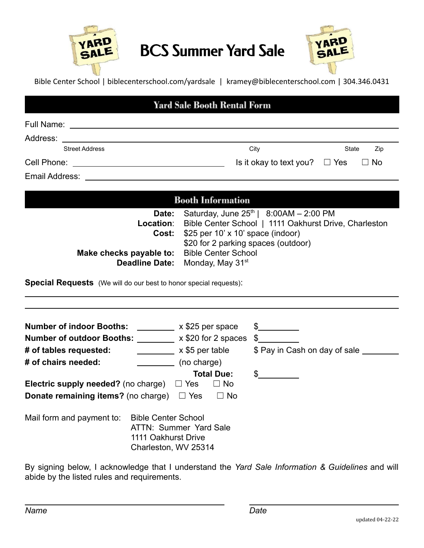

## BCS Summer Yard Sale



Bible Center School | biblecenterschool.com/yardsale | kramey@biblecenterschool.com | 304.346.0431

## **Yard Sale Booth Rental Form**

| Full Name:            |                                    |              |  |
|-----------------------|------------------------------------|--------------|--|
| Address:              |                                    |              |  |
| <b>Street Address</b> | City                               | Zip<br>State |  |
| Cell Phone:           | Is it okay to text you? $\Box$ Yes | $\Box$ No    |  |
| $\sim$ $\sim$<br>.    |                                    |              |  |

Email Address:

## **Booth Information**

| <b>Date:</b> Saturday, June $25th$   8:00AM - 2:00 PM           |
|-----------------------------------------------------------------|
| Location: Bible Center School   1111 Oakhurst Drive, Charleston |
| <b>Cost:</b> $$25$ per 10' x 10' space (indoor)                 |
| \$20 for 2 parking spaces (outdoor)                             |
| Make checks payable to: Bible Center School                     |
| <b>Deadline Date:</b> Monday, May 31 <sup>st</sup>              |
|                                                                 |

**Special Requests** (We will do our best to honor special requests):

| <b>Number of indoor Booths:</b><br><b>Number of outdoor Booths:</b><br># of tables requested: | x \$25 per space<br>x \$20 for 2 spaces<br>x \$5 per table | \$<br>S<br>\$ Pay in Cash on day of sale _ |
|-----------------------------------------------------------------------------------------------|------------------------------------------------------------|--------------------------------------------|
| # of chairs needed:                                                                           | (no charge)                                                |                                            |
| Electric supply needed? (no charge)<br><b>Donate remaining items?</b> (no charge) $\Box$ Yes  | <b>Total Due:</b><br>$\Box$ Yes<br>$\Box$ No<br>$\Box$ No  | S                                          |
| Mail form and payment to:<br><b>Bible Center School</b><br>1111 Oakhurst Drive                | ATTN: Summer Yard Sale<br>Charleston, WV 25314             |                                            |

By signing below, I acknowledge that I understand the *Yard Sale Information & Guidelines* and will abide by the listed rules and requirements.